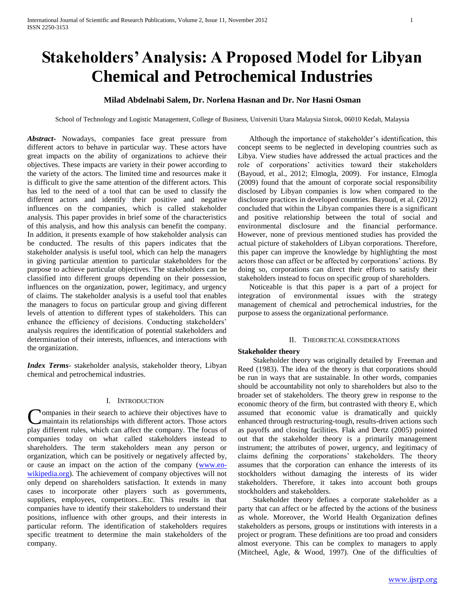# **Stakeholders' Analysis: A Proposed Model for Libyan Chemical and Petrochemical Industries**

# **Milad Abdelnabi Salem, Dr. Norlena Hasnan and Dr. Nor Hasni Osman**

School of Technology and Logistic Management, College of Business, Universiti Utara Malaysia Sintok, 06010 Kedah, Malaysia

*Abstract***-** Nowadays, companies face great pressure from different actors to behave in particular way. These actors have great impacts on the ability of organizations to achieve their objectives. These impacts are variety in their power according to the variety of the actors. The limited time and resources make it is difficult to give the same attention of the different actors. This has led to the need of a tool that can be used to classify the different actors and identify their positive and negative influences on the companies, which is called stakeholder analysis. This paper provides in brief some of the characteristics of this analysis, and how this analysis can benefit the company. In addition, it presents example of how stakeholder analysis can be conducted. The results of this papers indicates that the stakeholder analysis is useful tool, which can help the managers in giving particular attention to particular stakeholders for the purpose to achieve particular objectives. The stakeholders can be classified into different groups depending on their possession, influences on the organization, power, legitimacy, and urgency of claims. The stakeholder analysis is a useful tool that enables the managers to focus on particular group and giving different levels of attention to different types of stakeholders. This can enhance the efficiency of decisions. Conducting stakeholders' analysis requires the identification of potential stakeholders and determination of their interests, influences, and interactions with the organization.

*Index Terms*- stakeholder analysis, stakeholder theory, Libyan chemical and petrochemical industries.

## I. INTRODUCTION

**Nompanies in their search to achieve their objectives have to** maintain its relationships with different actors. Those actors Companies in their search to achieve their objectives have to maintain its relationships with different actors. Those actors play different rules, which can affect the company. The focus of companies today on what called stakeholders instead to shareholders. The term stakeholders mean any person or organization, which can be positively or negatively affected by, or cause an impact on the action of the company [\(www.en](http://www.en-wikipedia.org/)[wikipedia.org\)](http://www.en-wikipedia.org/). The achievement of company objectives will not only depend on shareholders satisfaction. It extends in many cases to incorporate other players such as governments, suppliers, employees, competitors...Etc. This results in that companies have to identify their stakeholders to understand their positions, influence with other groups, and their interests in particular reform. The identification of stakeholders requires specific treatment to determine the main stakeholders of the company.

 Although the importance of stakeholder"s identification, this concept seems to be neglected in developing countries such as Libya. View studies have addressed the actual practices and the role of corporations" activities toward their stakeholders (Bayoud, et al., 2012; Elmogla, 2009). For instance, Elmogla (2009) found that the amount of corporate social responsibility disclosed by Libyan companies is low when compared to the disclosure practices in developed countries. Bayoud, et al. (2012) concluded that within the Libyan companies there is a significant and positive relationship between the total of social and environmental disclosure and the financial performance. However, none of previous mentioned studies has provided the actual picture of stakeholders of Libyan corporations. Therefore, this paper can improve the knowledge by highlighting the most actors those can affect or be affected by corporations' actions. By doing so, corporations can direct their efforts to satisfy their stakeholders instead to focus on specific group of shareholders.

 Noticeable is that this paper is a part of a project for integration of environmental issues with the strategy management of chemical and petrochemical industries, for the purpose to assess the organizational performance.

#### II. THEORETICAL CONSIDERATIONS

#### **Stakeholder theory**

 Stakeholder theory was originally detailed by Freeman and Reed (1983). The idea of the theory is that corporations should be run in ways that are sustainable. In other words, companies should be accountability not only to shareholders but also to the broader set of stakeholders. The theory grew in response to the economic theory of the firm, but contrasted with theory E, which assumed that economic value is dramatically and quickly enhanced through restructuring-tough, results-driven actions such as payoffs and closing facilities. Flak and Dertz (2005) pointed out that the stakeholder theory is a primarily management instrument; the attributes of power, urgency, and legitimacy of claims defining the corporations" stakeholders. The theory assumes that the corporation can enhance the interests of its stockholders without damaging the interests of its wider stakeholders. Therefore, it takes into account both groups stockholders and stakeholders.

 Stakeholder theory defines a corporate stakeholder as a party that can affect or be affected by the actions of the business as whole. Moreover, the World Health Organization defines stakeholders as persons, groups or institutions with interests in a project or program. These definitions are too proad and considers almost everyone. This can be complex to managers to apply (Mitcheel, Agle, & Wood, 1997). One of the difficulties of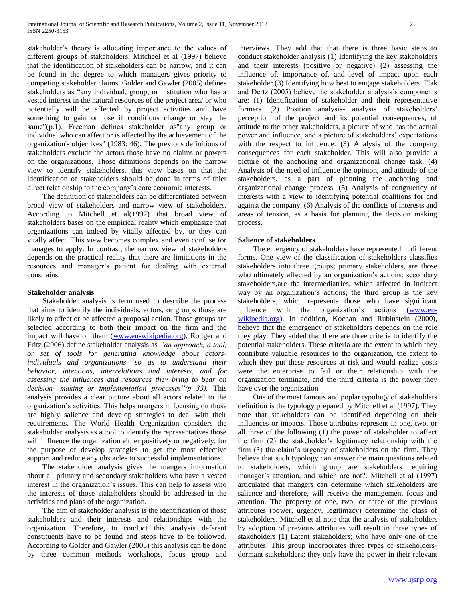stakeholder's theory is allocating importance to the values of different groups of stakeholders. Mitcheel et al (1997) believe that the identification of stakeholders can be narrow, and it can be found in the degree to which managers gives priority to competing stakeholder claims. Golder and Gawler (2005) defines stakeholders as "any individual, group, or institution who has a vested interest in the natural resources of the project area/ or who potentially will be affected by project activities and have something to gain or lose if conditions change or stay the same"(p.1). Freeman defines stakeholder as"any group or individual who can affect or is affected by the achievement of the organization's objectives" (1983: 46). The previous definitions of stakeholders exclude the actors those have no claims or powers on the organizations. Those difinitions depends on the narrow view to identify stakeholders, this view bases on that the identification of stakeholders should be done in terms of thier direct relationship to the company's core economic interests.

 The definition of stakeholders can be differentiated between broad view of stakeholders and narrow view of stakeholders. According to Mitchell et al(1997) that broad view of stakeholders bases on the empirical reality which emphasize that organizations can indeed by vitally affected by, or they can vitally affect. This view becomes complex and even confuse for manages to apply. In contrast, the narrow view of stakeholders depends on the practical reality that there are limitations in the resources and manager"s patient for dealing with external constrains.

## **Stakeholder analysis**

 Stakeholder analysis is term used to describe the process that aims to identify the individuals, actors, or groups those are likely to affect or be affected a proposal action. Those groups are selected according to both their impact on the firm and the impact will have on them [\(www.en-wikipedia.org\)](http://www.en-wikipedia.org/). Rottger and Fritz (2006) define stakeholder analysis as *"an approach, a tool, or set of tools for generating knowledge about actorsindividuals and organizations- so as to understand their behavior, intentions, interrelations and interests, and for assessing the influences and resources they bring to bear on decision- making or implementation processes"(p 33).* This analysis provides a clear picture about all actors related to the organization"s activities. This helps mangers in focusing on those are highly salience and develop strategies to deal with their requirements. The World Health Organization considers the stakeholder analysis as a tool to identify the representatives those will influence the organization either positively or negatively, for the purpose of develop strategies to get the most effective support and reduce any obstacles to successful implementations.

 The stakeholder analysis gives the mangers information about all primary and secondary stakeholders who have a vested interest in the organization's issues. This can help to assess who the interests of those stakeholders should be addressed in the activities and plans of the organization.

 The aim of stakeholder analysis is the identification of those stakeholders and their interests and relationships with the organization. Therefore, to conduct this analysis deferent constituents have to be found and steps have to be followed. According to Golder and Gawler (2005) this analysis can be done by three common methods workshops, focus group and interviews. They add that that there is three basic steps to conduct stakeholder analysis (1) Identifying the key stakeholders and their interests (positive or negative) (2) assessing the influence of, importance of, and level of impact upon each stakeholder.(3) Identifying how best to engage stakeholders. Flak and Dertz (2005) believe the stakeholder analysis's components are: (1) Identification of stakeholder and their representative formers. (2) Position analysis- analysis of stakeholders' perception of the project and its potential consequences, of attitude to the other stakeholders, a picture of who has the actual power and influence, and a picture of stakeholders' expectations with the respect to influence. (3) Analysis of the company consequences for each stakeholder. This will also provide a picture of the anchoring and organizational change task. (4) Analysis of the need of influence the opinion, and attitude of the stakeholders, as a part of planning the anchoring and organizational change process. (5) Analysis of congruency of interests with a view to identifying potential coalitions for and against the company. (6) Analysis of the conflicts of interests and areas of tension, as a basis for planning the decision making process.

## **Salience of stakeholders**

 The emergency of stakeholders have represented in different forms. One view of the classification of stakeholders classifies stakeholders into three groups; primary stakeholders, are those who ultimately affected by an organization's actions; secondary stakeholders,are the intermediatries, which affected in indirect way by an organization's actions; the third group is the key stakeholders, which represents those who have significant influence with the organization"s actions [\(www.en](http://www.en-wikipedia.org/)[wikipedia.org\)](http://www.en-wikipedia.org/). In addition, Kochan and Rubinstein (2000), believe that the emergency of stakeholders depends on the role they play. They added that there are three criteria to identify the potential stakeholders. These criteria are the extent to which they contribute valuable resources to the organization, the extent to which they put these resources at risk and would realize costs were the enterprise to fail or their relationship with the organization terminate, and the third criteria is the power they have over the organization .

 One of the most famous and poplar typology of stakeholders definition is the typology prepared by Mitchell et al (1997). They note that stakeholders can be identified depending on their influences or impacts. Those attributes represent in one, two, or all three of the following (1) the power of stakeholder to affect the firm (2) the stakeholder"s legitimacy relationship with the firm (3) the claim"s urgency of stakeholders on the firm. They believe that such typology can answer the main questions related to stakeholders, which group are stakeholders requiring manager's attention, and which are not?. Mitchell et al (1997) articulated that mangers can determine which stakeholders are salience and therefore, will receive the management focus and attention. The property of one, two, or three of the previous attributes (power, urgency, legitimacy) determine the class of stakeholders. Mitchell et al note that the analysis of stakeholders by adoption of previous attributes will result in three types of stakeholders **(1)** Latent stakeholders; who have only one of the attributes. This group incorporates three types of stakeholdersdormant stakeholders; they only have the power in their relevant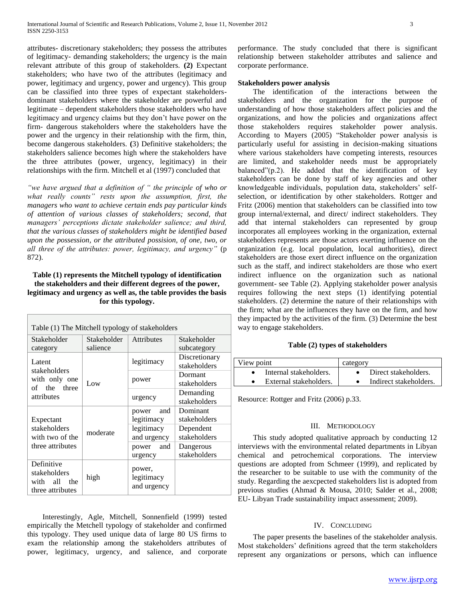attributes- discretionary stakeholders; they possess the attributes of legitimacy- demanding stakeholders; the urgency is the main relevant attribute of this group of stakeholders. **(2)** Expectant stakeholders; who have two of the attributes (legitimacy and power, legitimacy and urgency, power and urgency). This group can be classified into three types of expectant stakeholdersdominant stakeholders where the stakeholder are powerful and legitimate – dependent stakeholders those stakeholders who have legitimacy and urgency claims but they don"t have power on the firm- dangerous stakeholders where the stakeholders have the power and the urgency in their relationship with the firm, thin, become dangerous stakeholders. **(**3) Definitive stakeholders; the stakeholders salience becomes high where the stakeholders have the three attributes (power, urgency, legitimacy) in their relationships with the firm. Mitchell et al (1997) concluded that

*"we have argued that a definition of " the principle of who or what really counts" rests upon the assumption, first, the managers who want to achieve certain ends pay particular kinds of attention of various classes of stakeholders; second, that managers' perceptions dictate stakeholder salience; and third, that the various classes of stakeholders might be identified based upon the possession, or the attributed possision, of one, two, or all three of the attributes: power, legitimacy, and urgency"* (p 872).

# **Table (1) represents the Mitchell typology of identification the stakeholders and their different degrees of the power, legitimacy and urgency as well as, the table provides the basis for this typology.**

| Table (1) The Mitchell typology of stakeholders                   |             |                                     |               |  |  |  |  |  |
|-------------------------------------------------------------------|-------------|-------------------------------------|---------------|--|--|--|--|--|
| Stakeholder                                                       | Stakeholder | <b>Attributes</b>                   | Stakeholder   |  |  |  |  |  |
| category                                                          | salience    |                                     | subcategory   |  |  |  |  |  |
|                                                                   | Low         |                                     | Discretionary |  |  |  |  |  |
| Latent<br>stakeholders                                            |             | legitimacy                          | stakeholders  |  |  |  |  |  |
|                                                                   |             |                                     | Dormant       |  |  |  |  |  |
| with only one<br>of the three<br>attributes                       |             | power                               | stakeholders  |  |  |  |  |  |
|                                                                   |             | urgency                             | Demanding     |  |  |  |  |  |
|                                                                   |             |                                     | stakeholders  |  |  |  |  |  |
|                                                                   | moderate    | and<br>power                        | Dominant      |  |  |  |  |  |
| Expectant                                                         |             | legitimacy                          | stakeholders  |  |  |  |  |  |
| stakeholders                                                      |             | legitimacy                          | Dependent     |  |  |  |  |  |
| with two of the                                                   |             | and urgency                         | stakeholders  |  |  |  |  |  |
| three attributes                                                  |             | and<br>power                        | Dangerous     |  |  |  |  |  |
|                                                                   |             | urgency                             | stakeholders  |  |  |  |  |  |
| Definitive<br>stakeholders<br>with all<br>the<br>three attributes | high        | power,<br>legitimacy<br>and urgency |               |  |  |  |  |  |

 Interestingly, Agle, Mitchell, Sonnenfield (1999) tested empirically the Metchell typology of stakeholder and confirmed this typology. They used unique data of large 80 US firms to exam the relationship among the stakeholders attributes of power, legitimacy, urgency, and salience, and corporate performance. The study concluded that there is significant relationship between stakeholder attributes and salience and corporate performance.

## **Stakeholders power analysis**

 The identification of the interactions between the stakeholders and the organization for the purpose of understanding of how those stakeholders affect policies and the organizations, and how the policies and organizations affect those stakeholders requires stakeholder power analysis. According to Mayers (2005) "Stakeholder power analysis is particularly useful for assisting in decision-making situations where various stakeholders have competing interests, resources are limited, and stakeholder needs must be appropriately balanced" $(p.2)$ . He added that the identification of key stakeholders can be done by staff of key agencies and other knowledgeable individuals, population data, stakeholders' selfselection, or identification by other stakeholders. Rottger and Fritz (2006) mention that stakeholders can be classified into tow group internal/external, and direct/ indirect stakeholders. They add that internal stakeholders can represented by group incorporates all employees working in the organization, external stakeholders represents are those actors exerting influence on the organization (e.g. local population, local authorities), direct stakeholders are those exert direct influence on the organization such as the staff, and indirect stakeholders are those who exert indirect influence on the organization such as national government- see Table (2). Applying stakeholder power analysis requires following the next steps (1) identifying potential stakeholders. (2) determine the nature of their relationships with the firm; what are the influences they have on the firm, and how they impacted by the activities of the firm. (3) Determine the best way to engage stakeholders.

## **Table (2) types of stakeholders**

| View point |                        | category |                        |
|------------|------------------------|----------|------------------------|
|            | Internal stakeholders. |          | Direct stakeholders.   |
|            | External stakeholders. |          | Indirect stakeholders. |

Resource: Rottger and Fritz (2006) p.33.

## III. METHODOLOGY

 This study adopted qualitative approach by conducting 12 interviews with the environmental related departments in Libyan chemical and petrochemical corporations. The interview questions are adopted from Schmeer (1999), and replicated by the researcher to be suitable to use with the community of the study. Regarding the aexcpected stakeholders list is adopted from previous studies (Ahmad & Mousa, 2010; Salder et al., 2008; EU- Libyan Trade sustainability impact assessment; 2009).

## IV. CONCLUDING

 The paper presents the baselines of the stakeholder analysis. Most stakeholders" definitions agreed that the term stakeholders represent any organizations or persons, which can influence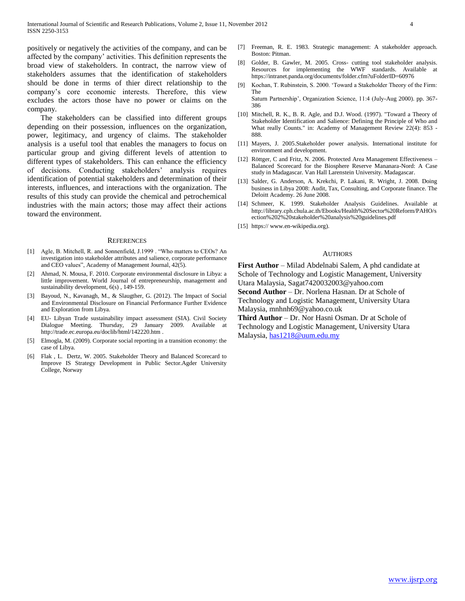positively or negatively the activities of the company, and can be affected by the company" activities. This definition represents the broad view of stakeholders. In contract, the narrow view of stakeholders assumes that the identification of stakeholders should be done in terms of thier direct relationship to the company"s core economic interests. Therefore, this view excludes the actors those have no power or claims on the company.

 The stakeholders can be classified into different groups depending on their possession, influences on the organization, power, legitimacy, and urgency of claims. The stakeholder analysis is a useful tool that enables the managers to focus on particular group and giving different levels of attention to different types of stakeholders. This can enhance the efficiency of decisions. Conducting stakeholders" analysis requires identification of potential stakeholders and determination of their interests, influences, and interactions with the organization. The results of this study can provide the chemical and petrochemical industries with the main actors; those may affect their actions toward the environment.

#### **REFERENCES**

- [1] Agle, B. Mitchell, R. and Sonnenfield, J.1999 . "Who matters to CEOs? An investigation into stakeholder attributes and salience, corporate performance and CEO values", Academy of Management Journal, 42(5).
- [2] Ahmad, N. Mousa, F. 2010. Corporate environmental disclosure in Libya: a little improvement. World Journal of entrepreneurship, management and sustainability development,  $6(s)$ , 149-159.
- [3] Bayoud, N., Kavanagh, M., & Slaugther, G. (2012). The Impact of Social and Environmental Disclosure on Financial Performance Further Evidence and Exploration from Libya.
- [4] EU- Libyan Trade sustainability impact assessment (SIA). Civil Society Dialogue Meeting. Thursday, 29 January 2009. Available at <http://trade.ec.europa.eu/doclib/html/142220.htm> .
- [5] Elmogla, M. (2009). Corporate social reporting in a transition economy: the case of Libya.
- [6] Flak , L. Dertz, W. 2005. Stakeholder Theory and Balanced Scorecard to Improve IS Strategy Development in Public Sector.Agder University College, Norway
- [7] Freeman, R. E. 1983. Strategic management: A stakeholder approach. Boston: Pitman.
- [8] Golder, B. Gawler, M. 2005. Cross- cutting tool stakeholder analysis. Resources for implementing the WWF standards. Available at <https://intranet.panda.org/documents/folder.cfm?uFolderID=60976>
- [9] Kochan, T. Rubinstein, S. 2000. "Toward a Stakeholder Theory of the Firm: The

Saturn Partnership", Organization Science, 11:4 (July-Aug 2000). pp. 367- 386

- [10] Mitchell, R. K., B. R. Agle, and D.J. Wood. (1997). "Toward a Theory of Stakeholder Identification and Salience: Defining the Principle of Who and What really Counts." in: Academy of Management Review 22(4): 853 - 888.
- [11] Mayers, J. 2005.Stakeholder power analysis. International institute for environment and development.
- [12] Röttger, C and Fritz, N. 2006. Protected Area Management Effectiveness Balanced Scorecard for the Biosphere Reserve Mananara-Nord: A Case study in Madagascar. Van Hall Larenstein University. Madagascar.
- [13] Salder, G. Anderson, A. Krekchi, P. Lakani, R. Wright, J. 2008. Doing business in Libya 2008: Audit, Tax, Consulting, and Corporate finance. The Deloitt Academy. 26 June 2008.
- [14] Schmeer, K. 1999. Stakeholder Analysis Guidelines. Available at [http://library.cph.chula.ac.th/Ebooks/Health%20Sector%20Reform/PAHO/s](http://library.cph.chula.ac.th/Ebooks/Health%20Sector%20Reform/PAHO/section%202%20stakeholder%20analysis%20guidelines.pdf) [ection%202%20stakeholder%20analysis%20guidelines.pdf](http://library.cph.chula.ac.th/Ebooks/Health%20Sector%20Reform/PAHO/section%202%20stakeholder%20analysis%20guidelines.pdf)
- [15] https:/[/ www.en-wikipedia.org\)](http://www.en-wikipedia.org/).

#### AUTHORS

**First Author** – Milad Abdelnabi Salem, A phd candidate at Schole of Technology and Logistic Management, University Utara Malaysia, Sagat7420032003@yahoo.com **Second Author** – Dr. Norlena Hasnan. Dr at Schole of

Technology and Logistic Management, University Utara Malaysia, mnhnh69@yahoo.co.uk

**Third Author** – Dr. Nor Hasni Osman. Dr at Schole of Technology and Logistic Management, University Utara Malaysia, [has1218@uum.edu.my](mailto:has1218@uum.edu.my)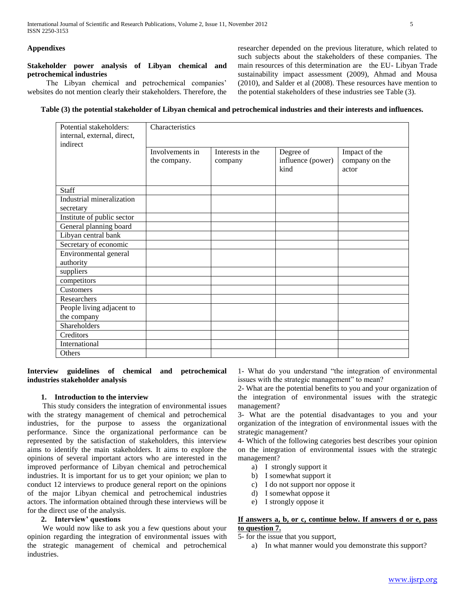## **Appendixes**

## **Stakeholder power analysis of Libyan chemical and petrochemical industries**

The Libyan chemical and petrochemical companies' websites do not mention clearly their stakeholders. Therefore, the researcher depended on the previous literature, which related to such subjects about the stakeholders of these companies. The main resources of this determination are the EU- Libyan Trade sustainability impact assessment (2009), Ahmad and Mousa (2010), and Salder et al (2008). These resources have mention to the potential stakeholders of these industries see Table (3).

## **Table (3) the potential stakeholder of Libyan chemical and petrochemical industries and their interests and influences.**

| Potential stakeholders:<br>internal, external, direct,<br>indirect | Characteristics |                  |                           |                         |  |  |
|--------------------------------------------------------------------|-----------------|------------------|---------------------------|-------------------------|--|--|
|                                                                    | Involvements in | Interests in the | Degree of                 | Impact of the           |  |  |
|                                                                    | the company.    | company          | influence (power)<br>kind | company on the<br>actor |  |  |
| Staff                                                              |                 |                  |                           |                         |  |  |
| Industrial mineralization                                          |                 |                  |                           |                         |  |  |
| secretary                                                          |                 |                  |                           |                         |  |  |
| Institute of public sector                                         |                 |                  |                           |                         |  |  |
| General planning board                                             |                 |                  |                           |                         |  |  |
| Libyan central bank                                                |                 |                  |                           |                         |  |  |
| Secretary of economic                                              |                 |                  |                           |                         |  |  |
| Environmental general                                              |                 |                  |                           |                         |  |  |
| authority                                                          |                 |                  |                           |                         |  |  |
| suppliers                                                          |                 |                  |                           |                         |  |  |
| competitors                                                        |                 |                  |                           |                         |  |  |
| Customers                                                          |                 |                  |                           |                         |  |  |
| Researchers                                                        |                 |                  |                           |                         |  |  |
| People living adjacent to                                          |                 |                  |                           |                         |  |  |
| the company                                                        |                 |                  |                           |                         |  |  |
| Shareholders                                                       |                 |                  |                           |                         |  |  |
| Creditors                                                          |                 |                  |                           |                         |  |  |
| International                                                      |                 |                  |                           |                         |  |  |
| Others                                                             |                 |                  |                           |                         |  |  |

**Interview guidelines of chemical and petrochemical industries stakeholder analysis**

## **1. Introduction to the interview**

 This study considers the integration of environmental issues with the strategy management of chemical and petrochemical industries, for the purpose to assess the organizational performance. Since the organizational performance can be represented by the satisfaction of stakeholders, this interview aims to identify the main stakeholders. It aims to explore the opinions of several important actors who are interested in the improved performance of Libyan chemical and petrochemical industries. It is important for us to get your opinion; we plan to conduct 12 interviews to produce general report on the opinions of the major Libyan chemical and petrochemical industries actors. The information obtained through these interviews will be for the direct use of the analysis.

## **2. Interview' questions**

We would now like to ask you a few questions about your opinion regarding the integration of environmental issues with the strategic management of chemical and petrochemical industries.

1- What do you understand "the integration of environmental issues with the strategic management" to mean?

2- What are the potential benefits to you and your organization of the integration of environmental issues with the strategic management?

3- What are the potential disadvantages to you and your organization of the integration of environmental issues with the strategic management?

4- Which of the following categories best describes your opinion on the integration of environmental issues with the strategic management?

- a) I strongly support it
- b) I somewhat support it
- c) I do not support nor oppose it
- d) I somewhat oppose it
- e) I strongly oppose it

## **If answers a, b, or c, continue below. If answers d or e, pass to question 7.**

5- for the issue that you support,

a) In what manner would you demonstrate this support?